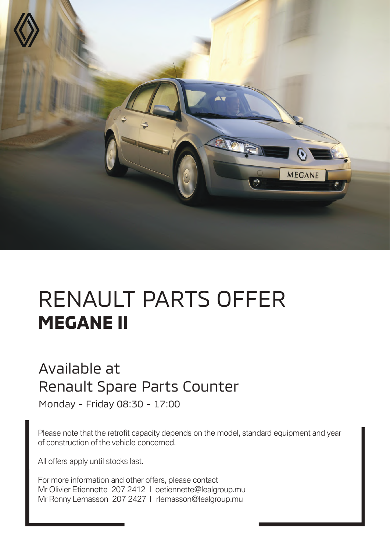

# RENAULT PARTS OFFER **MEGANE II**

#### Available at Renault Spare Parts Counter

Monday - Friday 08:30 - 17:00

Please note that the retrofit capacity depends on the model, standard equipment and year of construction of the vehicle concerned.

All offers apply until stocks last.

For more information and other offers, please contact Mr Olivier Etiennette 207 2412 | oetiennette@lealgroup.mu Mr Ronny Lemasson 207 2427 | rlemasson@lealgroup.mu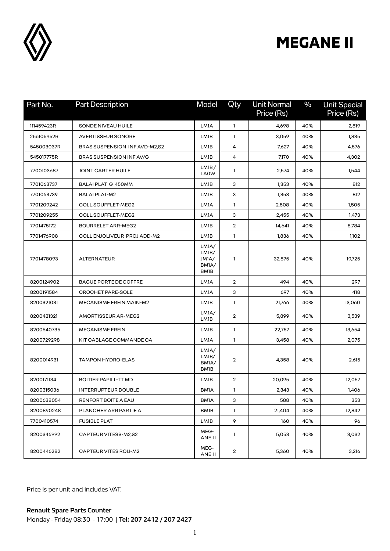

| Part No.   | <b>Part Description</b>       | Model                                                        | Qty                     | <b>Unit Normal</b><br>Price (Rs) | $\frac{0}{0}$ | <b>Unit Special</b><br>Price (Rs) |
|------------|-------------------------------|--------------------------------------------------------------|-------------------------|----------------------------------|---------------|-----------------------------------|
| 111459423R | SONDE NIVEAU HUILE            | <b>LM1A</b>                                                  | $\mathbf{1}$            | 4,698                            | 40%           | 2,819                             |
| 256105952R | <b>AVERTISSEUR SONORE</b>     | LM <sub>1</sub> B                                            | 1                       | 3,059                            | 40%           | 1,835                             |
| 545003037R | BRAS SUSPENSION INF AVD-M2,S2 | LM1B                                                         | 4                       | 7,627                            | 40%           | 4,576                             |
| 545017775R | BRAS SUSPENSION INF AV/G      | LM1B                                                         | 4                       | 7,170                            | 40%           | 4,302                             |
| 7700103687 | JOINT CARTER HUILE            | LMIB/<br><b>LAOW</b>                                         | 1                       | 2,574                            | 40%           | 1,544                             |
| 7701063737 | <b>BALAI PLAT G 450MM</b>     | LM1B                                                         | з                       | 1,353                            | 40%           | 812                               |
| 7701063739 | <b>BALAI PLAT-M2</b>          | LM1B                                                         | з                       | 1,353                            | 40%           | 812                               |
| 7701209242 | COLL.SOUFFLET-MEG2            | LM <sub>1</sub> A                                            | $\mathbf{1}$            | 2,508                            | 40%           | 1,505                             |
| 7701209255 | COLL.SOUFFLET-MEG2            | <b>LMIA</b>                                                  | з                       | 2,455                            | 40%           | 1,473                             |
| 7701475172 | <b>BOURRELET ARR-MEG2</b>     | LM1B                                                         | $\overline{\mathbf{c}}$ | 14,641                           | 40%           | 8,784                             |
| 7701476908 | COLL ENJOLIVEUR PROJ ADD-M2   | LM1B                                                         | 1                       | 1,836                            | 40%           | 1,102                             |
| 7701478093 | <b>ALTERNATEUR</b>            | LMIA/<br>LM <sub>1</sub> B/<br>JM1A/<br>BM1A/<br><b>BM1B</b> | $\mathbf{1}$            | 32,875                           | 40%           | 19,725                            |
| 8200124902 | <b>BAGUE PORTE DE COFFRE</b>  | <b>LM1A</b>                                                  | $\overline{2}$          | 494                              | 40%           | 297                               |
| 8200191584 | <b>CROCHET PARE-SOLE</b>      | LM <sub>1</sub> A                                            | 3                       | 697                              | 40%           | 418                               |
| 8200321031 | MECANISME FREIN MAIN-M2       | LM1B                                                         | 1                       | 21,766                           | 40%           | 13,060                            |
| 8200421321 | AMORTISSEUR AR-MEG2           | LMIA/<br>LM1B                                                | $\overline{2}$          | 5,899                            | 40%           | 3,539                             |
| 8200540735 | <b>MECANISME FREIN</b>        | LM <sub>1</sub> B                                            | 1                       | 22,757                           | 40%           | 13,654                            |
| 8200729298 | KIT CABLAGE COMMANDE CA       | <b>LMIA</b>                                                  | 1                       | 3,458                            | 40%           | 2,075                             |
| 8200014931 | <b>TAMPON HYDRO-ELAS</b>      | LMIA/<br>LM <sub>1</sub> B/<br>BMIA/<br><b>BM1B</b>          | 2                       | 4,358                            | 40%           | 2,615                             |
| 8200171134 | <b>BOITIER PAPILL-TT MD</b>   | LM1B                                                         | $\overline{2}$          | 20,095                           | 40%           | 12,057                            |
| 8200315036 | <b>INTERRUPTEUR DOUBLE</b>    | <b>BMIA</b>                                                  | 1                       | 2,343                            | 40%           | 1,406                             |
| 8200638054 | RENFORT BOITE A EAU           | <b>BMIA</b>                                                  | З                       | 588                              | 40%           | 353                               |
| 8200890248 | PLANCHER ARR PARTIE A         | <b>BM1B</b>                                                  | $\mathbf{1}$            | 21,404                           | 40%           | 12,842                            |
| 7700410574 | <b>FUSIBLE PLAT</b>           | LM1B                                                         | 9                       | 160                              | 40%           | 96                                |
| 8200346992 | CAPTEUR VITESS-M2,S2          | MEG-<br>ANE II                                               | 1                       | 5,053                            | 40%           | 3,032                             |
| 8200446282 | <b>CAPTEUR VITES ROU-M2</b>   | MEG-<br>ANE II                                               | $\overline{2}$          | 5,360                            | 40%           | 3,216                             |

Price is per unit and includes VAT.

**Renault Spare Parts Counter**  Monday - Friday 08:30 - 17:00 | **Tel: 207 2412 / 207 2427**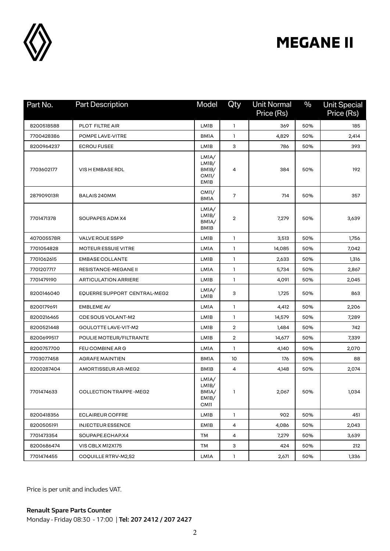

| Part No.   | <b>Part Description</b>         | Model                                                              | Qty                     | <b>Unit Normal</b><br>Price (Rs) | $\frac{0}{0}$ | <b>Unit Special</b><br>Price (Rs) |
|------------|---------------------------------|--------------------------------------------------------------------|-------------------------|----------------------------------|---------------|-----------------------------------|
| 8200518588 | PLOT FILTRE AIR                 | LM1B                                                               | $\mathbf{1}$            | 369                              | 50%           | 185                               |
| 7700428386 | POMPE LAVE-VITRE                | <b>BMIA</b>                                                        | 1                       | 4,829                            | 50%           | 2,414                             |
| 8200964237 | <b>ECROU FUSEE</b>              | LM1B                                                               | 3                       | 786                              | 50%           | 393                               |
| 7703602177 | VIS H EMBASE RDL                | LMIA/<br>LMIB/<br>BM <sub>1</sub> B/<br>CM11/<br>EM1B              | 4                       | 384                              | 50%           | 192                               |
| 287909013R | <b>BALAIS 240MM</b>             | CM11/<br><b>BMIA</b>                                               | 7                       | 714                              | 50%           | 357                               |
| 7701471378 | SOUPAPES ADM X4                 | LMIA/<br>LM <sub>1</sub> B/<br>BMIA/<br><b>BM1B</b>                | $\overline{2}$          | 7,279                            | 50%           | 3,639                             |
| 407005578R | VALVE ROUE SSPP                 | LM1B                                                               | 1                       | 3,513                            | 50%           | 1,756                             |
| 7701054828 | <b>MOTEUR ESSUIE VITRE</b>      | LM1A                                                               | 1                       | 14,085                           | 50%           | 7,042                             |
| 7701062615 | <b>EMBASE COLLANTE</b>          | LM1B                                                               | 1                       | 2,633                            | 50%           | 1,316                             |
| 7701207717 | <b>RESISTANCE-MEGANE II</b>     | LM1A                                                               | 1                       | 5,734                            | 50%           | 2,867                             |
| 7701479190 | <b>ARTICULATION ARRIERE</b>     | LM1B                                                               | $\mathbf{1}$            | 4,091                            | 50%           | 2,045                             |
| 8200146040 | EQUERRE SUPPORT CENTRAL-MEG2    | LMIA/<br>LM1B                                                      | 3                       | 1,725                            | 50%           | 863                               |
| 8200179691 | <b>EMBLEME AV</b>               | LM1A                                                               | $\mathbf{1}$            | 4,412                            | 50%           | 2,206                             |
| 8200216465 | <b>CDE SOUS VOLANT-M2</b>       | LM1B                                                               | 1                       | 14,579                           | 50%           | 7,289                             |
| 8200521448 | GOULOTTE LAVE-VIT-M2            | LM1B                                                               | $\overline{\mathbf{c}}$ | 1,484                            | 50%           | 742                               |
| 8200699517 | POULIE MOTEUR/FILTRANTE         | LM1B                                                               | $\overline{2}$          | 14,677                           | 50%           | 7,339                             |
| 8200757700 | FEU COMBINE ARG                 | LM1A                                                               | 1                       | 4,140                            | 50%           | 2,070                             |
| 7703077458 | <b>AGRAFE MAINTIEN</b>          | <b>BMIA</b>                                                        | 10                      | 176                              | 50%           | 88                                |
| 8200287404 | AMORTISSEUR AR-MEG2             | <b>BM1B</b>                                                        | 4                       | 4,148                            | 50%           | 2,074                             |
| 7701474633 | <b>COLLECTION TRAPPE - MEG2</b> | LMIA/<br>LM <sub>1</sub> B/<br>BMIA/<br>EM <sub>1</sub> B/<br>CM11 | 1                       | 2,067                            | 50%           | 1,034                             |
| 8200418356 | <b>ECLAIREUR COFFRE</b>         | LM1B                                                               | $\mathbf{1}$            | 902                              | 50%           | 451                               |
| 8200505191 | <b>INJECTEUR ESSENCE</b>        | <b>EM1B</b>                                                        | 4                       | 4,086                            | 50%           | 2,043                             |
| 7701473354 | SOUPAPE.ECHAP.X4                | TМ                                                                 | 4                       | 7,279                            | 50%           | 3,639                             |
| 8200686474 | VIS CBLX M12X175                | ТM                                                                 | 3                       | 424                              | 50%           | 212                               |
| 7701474455 | COQUILLE RTRV-M2,S2             | <b>LMIA</b>                                                        | $\mathbf{1}$            | 2,671                            | 50%           | 1,336                             |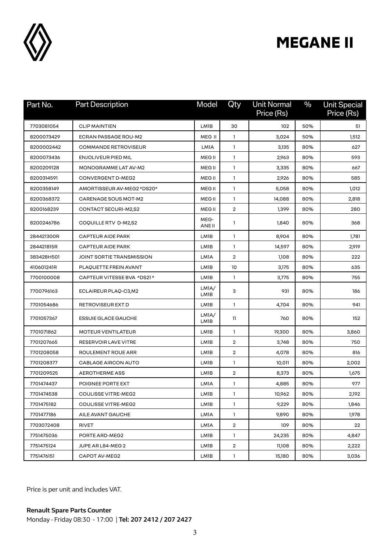

| Part No.   | <b>Part Description</b>     | Model             | Qty            | <b>Unit Normal</b><br>Price (Rs) | $\frac{0}{0}$ | <b>Unit Special</b><br>Price (Rs) |
|------------|-----------------------------|-------------------|----------------|----------------------------------|---------------|-----------------------------------|
| 7703081054 | <b>CLIP MAINTIEN</b>        | LM1B              | 30             | 102                              | 50%           | 51                                |
| 8200073429 | ECRAN PASSAGE ROU-M2        | MEG II            | $\mathbf{1}$   | 3,024                            | 50%           | 1,512                             |
| 8200002442 | <b>COMMANDE RETROVISEUR</b> | <b>LM1A</b>       | $\mathbf{1}$   | 3,135                            | 80%           | 627                               |
| 8200073436 | <b>ENJOLIVEUR PIED MIL</b>  | MEG II            | 1              | 2,963                            | 80%           | 593                               |
| 8200209128 | MONOGRAMME LAT AV-M2        | MEG <sub>II</sub> | $\mathbf{1}$   | 3,335                            | 80%           | 667                               |
| 8200314591 | CONVERGENT D-MEG2           | MEG <sub>II</sub> | $\mathbf{1}$   | 2,926                            | 80%           | 585                               |
| 8200358149 | AMORTISSEUR AV-MEG2 *DS20*  | MEG <sub>II</sub> | 1              | 5,058                            | 80%           | 1,012                             |
| 8200368372 | CARENAGE SOUS MOT-M2        | MEG II            | $\mathbf{1}$   | 14,088                           | 80%           | 2,818                             |
| 8200168239 | CONTACT SECURI-M2,S2        | <b>MEG II</b>     | $\overline{2}$ | 1,399                            | 80%           | 280                               |
| 8200246786 | COQUILLE RTV D-M2,S2        | MEG-<br>ANE II    | 1              | 1,840                            | 80%           | 368                               |
| 284421300R | <b>CAPTEUR AIDE PARK</b>    | LM1B              | $\mathbf{1}$   | 8,904                            | 80%           | 1,781                             |
| 284421815R | <b>CAPTEUR AIDE PARK</b>    | LM <sub>1</sub> B | 1              | 14,597                           | 80%           | 2,919                             |
| 383428H501 | JOINT SORTIE TRANSMISSION   | LM1A              | $\overline{2}$ | 1,108                            | 80%           | 222                               |
| 410601241R | PLAQUETTE FREIN AVANT       | LM <sub>1</sub> B | 10             | 3,175                            | 80%           | 635                               |
| 7700100008 | CAPTEUR VITESSE BVA *DS21*  | LM1B              | 1              | 3,775                            | 80%           | 755                               |
| 7700796163 | ECLAIREUR PLAQ-C3,M2        | LMIA/<br>LM1B     | 3              | 931                              | 80%           | 186                               |
| 7701054686 | RETROVISEUR EXT D           | LM1B              | 1              | 4,704                            | 80%           | 941                               |
| 7701057367 | <b>ESSUIE GLACE GAUCHE</b>  | LMIA/<br>LM1B     | 11             | 760                              | 80%           | 152                               |
| 7701071862 | <b>MOTEUR VENTILATEUR</b>   | LM1B              | $\mathbf{1}$   | 19,300                           | 80%           | 3,860                             |
| 7701207665 | RESERVOIR LAVE VITRE        | LM1B              | $\overline{2}$ | 3,748                            | 80%           | 750                               |
| 7701208058 | ROULEMENT ROUE ARR          | LM <sub>1</sub> B | $\overline{2}$ | 4,078                            | 80%           | 816                               |
| 7701208377 | <b>CABLAGE AIRCON AUTO</b>  | LM1B              | $\mathbf{1}$   | 10,011                           | 80%           | 2,002                             |
| 7701209525 | <b>AEROTHERME ASS</b>       | LM1B              | $\overline{2}$ | 8,373                            | 80%           | 1,675                             |
| 7701474437 | POIGNEE PORTE EXT           | LM1A              | 1              | 4,885                            | 80%           | 977                               |
| 7701474538 | COULISSE VITRE-MEG2         | LM1B              | 1              | 10,962                           | 80%           | 2,192                             |
| 7701475182 | <b>COULISSE VITRE-MEG2</b>  | LM1B              | $\mathbf{1}$   | 9,229                            | 80%           | 1,846                             |
| 7701477186 | AILE AVANT GAUCHE           | LMIA              | $\mathbf{1}$   | 9,890                            | 80%           | 1,978                             |
| 7703072408 | RIVET                       | LM1A              | $\overline{2}$ | 109                              | 80%           | 22                                |
| 7751475036 | PORTE ARD-MEG2              | LM1B              | $\mathbf{1}$   | 24,235                           | 80%           | 4,847                             |
| 7751475124 | JUPE AR L84-MEG 2           | LM1B              | $\overline{2}$ | 11,108                           | 80%           | 2,222                             |
| 7751476151 | CAPOT AV-MEG2               | LM1B              | $\mathbf{1}$   | 15,180                           | 80%           | 3,036                             |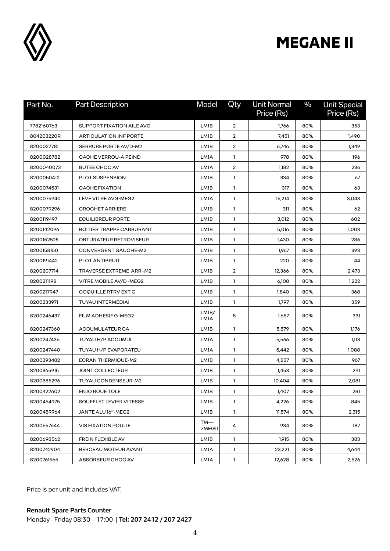

| Part No.   | <b>Part Description</b>         | Model                      | Qty            | <b>Unit Normal</b><br>Price (Rs) | $\frac{0}{0}$ | <b>Unit Special</b><br>Price (Rs) |
|------------|---------------------------------|----------------------------|----------------|----------------------------------|---------------|-----------------------------------|
| 7782160763 | SUPPORT FIXATION AILE AVG       | LM1B                       | 2              | 1,766                            | 80%           | 353                               |
| 804203220R | ARTICULATION INF PORTE          | LM1B                       | $\overline{2}$ | 7,451                            | 80%           | 1,490                             |
| 8200027781 | SERRURE PORTE AV/D-M2           | LM1B                       | $\overline{2}$ | 6,746                            | 80%           | 1,349                             |
| 8200028782 | <b>CACHE VERROU-A PEIND</b>     | LM1A                       | 1              | 978                              | 80%           | 196                               |
| 8200040073 | <b>BUTEE CHOC AV</b>            | LM1A                       | $\overline{2}$ | 1,182                            | 80%           | 236                               |
| 8200050412 | PLOT SUSPENSION                 | LM1B                       | 1              | 334                              | 80%           | 67                                |
| 8200074531 | <b>CACHE FIXATION</b>           | LM1B                       | 1              | 317                              | 80%           | 63                                |
| 8200075940 | LEVE VITRE AVG-MEG2             | LM1A                       | $\mathbf{1}$   | 15,214                           | 80%           | 3,043                             |
| 8200079296 | <b>CROCHET ARRIERE</b>          | LM1B                       | 1              | 311                              | 80%           | 62                                |
| 8200119497 | <b>EQUILIBREUR PORTE</b>        | LM1B                       | $\mathbf{1}$   | 3,012                            | 80%           | 602                               |
| 8200142096 | <b>BOITIER TRAPPE CARBURANT</b> | LM1B                       | $\mathbf{1}$   | 5,016                            | 80%           | 1,003                             |
| 8200152525 | OBTURATEUR RETROVISEUR          | LM1B                       | $\mathbf{1}$   | 1,430                            | 80%           | 286                               |
| 8200158150 | CONVERGENT GAUCHE-M2            | LM1B                       | $\mathbf{1}$   | 1,967                            | 80%           | 393                               |
| 8200191442 | PLOT ANTIBRUIT                  | LM1B                       | $\mathbf{1}$   | 220                              | 80%           | 44                                |
| 8200207714 | TRAVERSE EXTREME ARR-M2         | LM1B                       | 2              | 12,366                           | 80%           | 2,473                             |
| 8200211198 | VITRE MOBILE AV/D -MEG2         | LM1B                       | 1              | 6,108                            | 80%           | 1,222                             |
| 8200217947 | COQUIILLE RTRV EXT G            | LM1B                       | $\mathbf{1}$   | 1,840                            | 80%           | 368                               |
| 8200233971 | <b>TUYAU INTERMEDIAI</b>        | LM1B                       | 1              | 1,797                            | 80%           | 359                               |
| 8200246437 | FILM ADHESIF G-MEG2             | LM <sub>1</sub> B/<br>LM1A | 5              | 1,657                            | 80%           | 331                               |
| 8200247360 | ACCUMULATEUR CA                 | LM1B                       | $\mathbf{1}$   | 5,879                            | 80%           | 1,176                             |
| 8200247436 | TUYAU H/P ACCUMUL               | LM1A                       | $\mathbf{1}$   | 5,566                            | 80%           | 1,113                             |
| 8200247440 | TUYAU H/P EVAPORATEU            | LM1A                       | $\mathbf{1}$   | 5,442                            | 80%           | 1,088                             |
| 8200293482 | <b>ECRAN THERMIQUE-M2</b>       | LM1B                       | $\mathbf{1}$   | 4,837                            | 80%           | 967                               |
| 8200365915 | <b>JOINT COLLECTEUR</b>         | LM1B                       | $\mathbf{1}$   | 1,453                            | 80%           | 291                               |
| 8200385296 | TUYAU CONDENSEUR-M2             | LM1B                       | $\mathbf{1}$   | 10,404                           | 80%           | 2,081                             |
| 8200422602 | <b>ENJO ROUE TOLE</b>           | LM1B                       | $\mathbf{1}$   | 1,407                            | 80%           | 281                               |
| 8200454975 | SOUFFLET LEVIER VITESSE         | LM1B                       | 1              | 4,226                            | 80%           | 845                               |
| 8200489964 | JANTE ALU 16"-MEG2              | LM1B                       | $\mathbf{1}$   | 11,574                           | 80%           | 2,315                             |
| 8200557644 | <b>VIS FIXATION POULIE</b>      | <b>TM---</b><br>>MEG11     | 4              | 934                              | 80%           | 187                               |
| 8200698562 | FREIN FLEXIBLE AV               | LM1B                       | 1              | 1,915                            | 80%           | 383                               |
| 8200742904 | BERCEAU MOTEUR AVANT            | LM1A                       | $\mathbf{1}$   | 23,221                           | 80%           | 4,644                             |
| 8200761565 | ABSORBEUR CHOC AV               | LMIA                       | $\mathbf{1}$   | 12,628                           | 80%           | 2,526                             |

Price is per unit and includes VAT.

Monday - Friday 08:30 - 17:00 | **Tel: 207 2412 / 207 2427**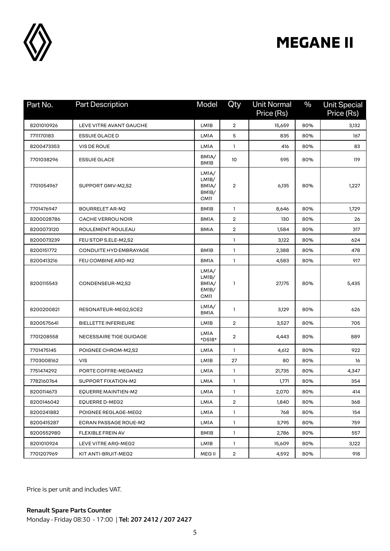

| Part No.   | <b>Part Description</b>       | <b>Model</b>                                          | Qty            | <b>Unit Normal</b><br>Price (Rs) | $\frac{0}{0}$ | <b>Unit Special</b><br>Price (Rs) |
|------------|-------------------------------|-------------------------------------------------------|----------------|----------------------------------|---------------|-----------------------------------|
| 8201010926 | LEVE VITRE AVANT GAUCHE       | LM1B                                                  | 2              | 15,659                           | 80%           | 3,132                             |
| 7711170183 | <b>ESSUIE GLACE D</b>         | LM1A                                                  | 5              | 835                              | 80%           | 167                               |
| 8200473353 | VIS DE ROUE                   | LM1A                                                  | $\mathbf{1}$   | 416                              | 80%           | 83                                |
| 7701038296 | <b>ESSUIE GLACE</b>           | BMIA/<br><b>BM1B</b>                                  | 10             | 595                              | 80%           | 119                               |
| 7701054967 | SUPPORT GMV-M2,S2             | LMIA/<br>LMIB/<br>BMIA/<br>BM <sub>1</sub> B/<br>CM11 | 2              | 6,135                            | 80%           | 1,227                             |
| 7701476947 | <b>BOURRELET AR-M2</b>        | <b>BM1B</b>                                           | 1              | 8,646                            | 80%           | 1,729                             |
| 8200028786 | <b>CACHE VERROU NOIR</b>      | <b>BMIA</b>                                           | 2              | 130                              | 80%           | 26                                |
| 8200073120 | ROULEMENT ROULEAU             | <b>BMIA</b>                                           | $\overline{2}$ | 1,584                            | 80%           | 317                               |
| 8200073239 | FEU STOP S.ELE-M2,S2          |                                                       | 1              | 3,122                            | 80%           | 624                               |
| 8200151772 | <b>CONDUITE HYD EMBRAYAGE</b> | <b>BM1B</b>                                           | $\mathbf{1}$   | 2,388                            | 80%           | 478                               |
| 8200413216 | FEU COMBINE ARD-M2            | <b>BMIA</b>                                           | $\mathbf{1}$   | 4,583                            | 80%           | 917                               |
| 8200115543 | CONDENSEUR-M2,S2              | LMIA/<br>LMIB/<br>BMIA/<br>EM <sub>1</sub> B/<br>CM11 | 1              | 27,175                           | 80%           | 5,435                             |
| 8200200821 | RESONATEUR-MEG2,SCE2          | LMIA/<br><b>BMIA</b>                                  | 1              | 3,129                            | 80%           | 626                               |
| 8200575641 | <b>BIELLETTE INFERIEURE</b>   | LM1B                                                  | $\overline{2}$ | 3,527                            | 80%           | 705                               |
| 7701208558 | NECESSAIRE TIGE GUIDAGE       | LM1A<br>*DS18*                                        | 2              | 4,443                            | 80%           | 889                               |
| 7701475145 | POIGNEE CHROM-M2,S2           | LM1A                                                  | 1              | 4,612                            | 80%           | 922                               |
| 7703008162 | <b>VIS</b>                    | LM1B                                                  | 27             | 80                               | 80%           | 16                                |
| 7751474292 | PORTE COFFRE-MEGANE2          | LM1A                                                  | $\mathbf{1}$   | 21,735                           | 80%           | 4,347                             |
| 7782160764 | SUPPORT FIXATION-M2           | LMIA                                                  | 1              | 1,771                            | 80%           | 354                               |
| 8200114673 | EQUERRE MAINTIEN-M2           | <b>LM1A</b>                                           | $\mathbf{1}$   | 2,070                            | 80%           | 414                               |
| 8200146042 | EQUERRE D-MEG2                | LMIA                                                  | $\overline{2}$ | 1,840                            | 80%           | 368                               |
| 8200241882 | POIGNEE REGLAGE-MEG2          | LM1A                                                  | $\mathbf{1}$   | 768                              | 80%           | 154                               |
| 8200415287 | ECRAN PASSAGE ROUE-M2         | LM1A                                                  | $\mathbf{1}$   | 3,795                            | 80%           | 759                               |
| 8200552980 | FLEXIBLE FREIN AV             | <b>BM1B</b>                                           | $\mathbf{1}$   | 2,786                            | 80%           | 557                               |
| 8201010924 | LEVE VITRE ARG-MEG2           | LMIB                                                  | $\mathbf{1}$   | 15,609                           | 80%           | 3,122                             |
| 7701207969 | KIT ANTI-BRUIT-MEG2           | MEG II                                                | $\overline{2}$ | 4,592                            | 80%           | 918                               |

Price is per unit and includes VAT.

**Renault Spare Parts Counter**  Monday - Friday 08:30 - 17:00 | **Tel: 207 2412 / 207 2427**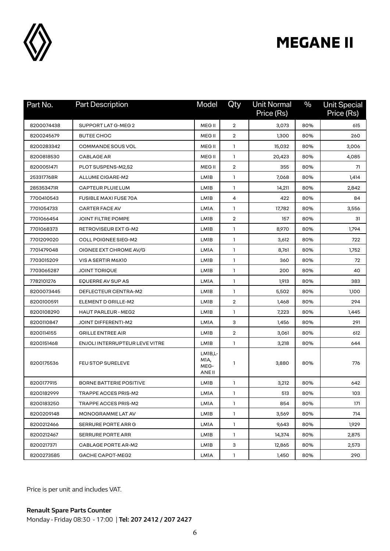

| Part No.   | <b>Part Description</b>        | Model                                          | Qty            | <b>Unit Normal</b><br>Price (Rs) | $\frac{0}{0}$ | <b>Unit Special</b><br>Price (Rs) |
|------------|--------------------------------|------------------------------------------------|----------------|----------------------------------|---------------|-----------------------------------|
| 8200074438 | SUPPORT LAT G-MEG 2            | MEG II                                         | $\overline{2}$ | 3,073                            | 80%           | 615                               |
| 8200245679 | <b>BUTEE CHOC</b>              | MEG <sub>II</sub>                              | $\overline{2}$ | 1,300                            | 80%           | 260                               |
| 8200283342 | <b>COMMANDE SOUS VOL</b>       | MEG <sub>II</sub>                              | $\mathbf{1}$   | 15,032                           | 80%           | 3,006                             |
| 8200818530 | <b>CABLAGE AR</b>              | MEG <sub>II</sub>                              | $\mathbf{1}$   | 20,423                           | 80%           | 4,085                             |
| 8200051471 | PLOT SUSPENS-M2,S2             | MEG II                                         | $\overline{2}$ | 355                              | 80%           | 71                                |
| 253317768R | ALLUME CIGARE-M2               | LM1B                                           | $\mathbf{1}$   | 7,068                            | 80%           | 1,414                             |
| 285353471R | CAPTEUR PLUIE LUM              | LM1B                                           | 1              | 14,211                           | 80%           | 2,842                             |
| 7700410543 | <b>FUSIBLE MAXI FUSE 70A</b>   | LM1B                                           | 4              | 422                              | 80%           | 84                                |
| 7701054733 | <b>CARTER FACE AV</b>          | LM1A                                           | $\mathbf{1}$   | 17,782                           | 80%           | 3,556                             |
| 7701066454 | JOINT FILTRE POMPE             | LM <sub>1</sub> B                              | $\overline{2}$ | 157                              | 80%           | 31                                |
| 7701068373 | <b>RETROVISEUR EXT G-M2</b>    | LM1B                                           | $\mathbf{1}$   | 8,970                            | 80%           | 1,794                             |
| 7701209020 | <b>COLL POIGNEE SIEG-M2</b>    | LM <sub>1</sub> B                              | 1              | 3,612                            | 80%           | 722                               |
| 7701479048 | OIGNEE EXT CHROME AV/G         | LM1A                                           | $\mathbf{1}$   | 8,761                            | 80%           | 1,752                             |
| 7703015209 | VIS A SERTIR M6X10             | LM1B                                           | $\mathbf{1}$   | 360                              | 80%           | 72                                |
| 7703065287 | JOINT TORIQUE                  | LM1B                                           | $\mathbf{1}$   | 200                              | 80%           | 40                                |
| 7782101276 | EQUERRE AV SUP AS              | LM1A                                           | $\mathbf{1}$   | 1,913                            | 80%           | 383                               |
| 8200073445 | DEFLECTEUR CENTRA-M2           | LM1B                                           | $\mathbf{1}$   | 5,502                            | 80%           | 1,100                             |
| 8200100591 | ELEMENT D GRILLE-M2            | LM1B                                           | $\overline{2}$ | 1,468                            | 80%           | 294                               |
| 8200108290 | <b>HAUT PARLEUR - MEG2</b>     | LM <sub>1</sub> B                              | 1              | 7,223                            | 80%           | 1,445                             |
| 8200110847 | <b>JOINT DIFFERENTI-M2</b>     | LM1A                                           | 3              | 1,456                            | 80%           | 291                               |
| 8200114155 | <b>GRILLE ENTREE AIR</b>       | LM <sub>1</sub> B                              | $\overline{2}$ | 3,061                            | 80%           | 612                               |
| 8200151468 | ENJOLI INTERRUPTEUR LEVE VITRE | LM1B                                           | $\mathbf{1}$   | 3,218                            | 80%           | 644                               |
| 8200175536 | <b>FEU STOP SURELEVE</b>       | LM <sub>1</sub> B,L-<br>MIA,<br>MEG-<br>ANE II | $\mathbf{1}$   | 3,880                            | 80%           | 776                               |
| 8200177915 | <b>BORNE BATTERIE POSITIVE</b> | LM1B                                           | 1              | 3,212                            | 80%           | 642                               |
| 8200182999 | TRAPPE ACCES PRIS-M2           | LM1A                                           | 1              | 513                              | 80%           | 103                               |
| 8200183250 | TRAPPE ACCES PRIS-M2           | LMIA                                           | 1              | 854                              | 80%           | 171                               |
| 8200209148 | MONOGRAMME LAT AV              | LM1B                                           | $\mathbf{1}$   | 3,569                            | 80%           | 714                               |
| 8200212466 | SERRURE PORTE ARR G            | LMIA                                           | $\mathbf{1}$   | 9,643                            | 80%           | 1,929                             |
| 8200212467 | <b>SERRURE PORTE ARR</b>       | LM1B                                           | $\mathbf{1}$   | 14,374                           | 80%           | 2,875                             |
| 8200217371 | CABLAGE PORTE AR-M2            | LM1B                                           | 3              | 12,865                           | 80%           | 2,573                             |
| 8200273585 | GACHE CAPOT-MEG2               | LMIA                                           | $\mathbf{1}$   | 1,450                            | 80%           | 290                               |